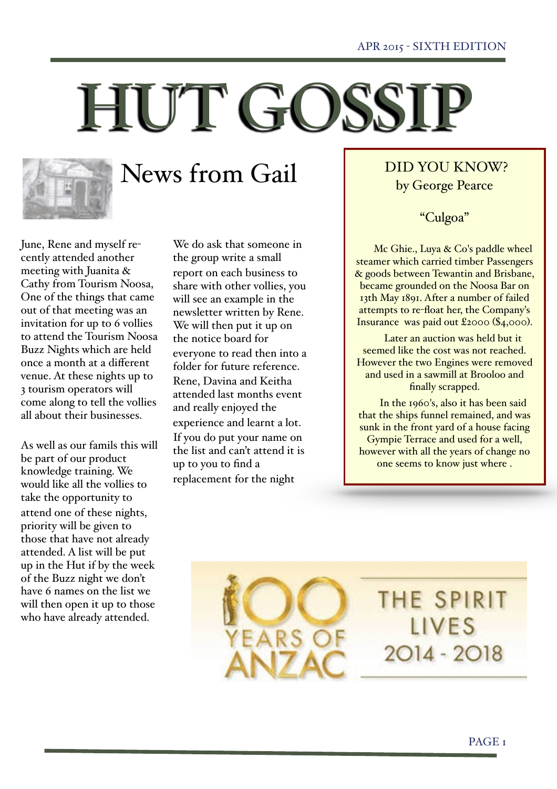# HUT GOSSIP



# News from Gail

June, Rene and myself recently attended another meeting with Juanita & Cathy from Tourism Noosa, One of the things that came out of that meeting was an invitation for up to 6 vollies to attend the Tourism Noosa Buzz Nights which are held once a month at a different venue. At these nights up to 3 tourism operators will come along to tell the vollies all about their businesses.

As well as our famils this will be part of our product knowledge training. We would like all the vollies to take the opportunity to attend one of these nights, priority will be given to those that have not already attended. A list will be put up in the Hut if by the week of the Buzz night we don't have 6 names on the list we will then open it up to those who have already attended.

We do ask that someone in the group write a small report on each business to share with other vollies, you will see an example in the newsletter written by Rene. We will then put it up on the notice board for everyone to read then into a folder for future reference. Rene, Davina and Keitha attended last months event and really enjoyed the experience and learnt a lot. If you do put your name on the list and can't attend it is up to you to find a replacement for the night

### DID YOU KNOW? by George Pearce

#### "Culgoa"

Mc Ghie., Luya & Co's paddle wheel steamer which carried timber Passengers & goods between Tewantin and Brisbane, became grounded on the Noosa Bar on 13th May 1891. After a number of failed attempts to re-float her, the Company's Insurance was paid out £2000 (\$4,000).

Later an auction was held but it seemed like the cost was not reached. However the two Engines were removed and used in a sawmill at Brooloo and finally scrapped.

In the 1960's, also it has been said that the ships funnel remained, and was sunk in the front yard of a house facing Gympie Terrace and used for a well, however with all the years of change no one seems to know just where .

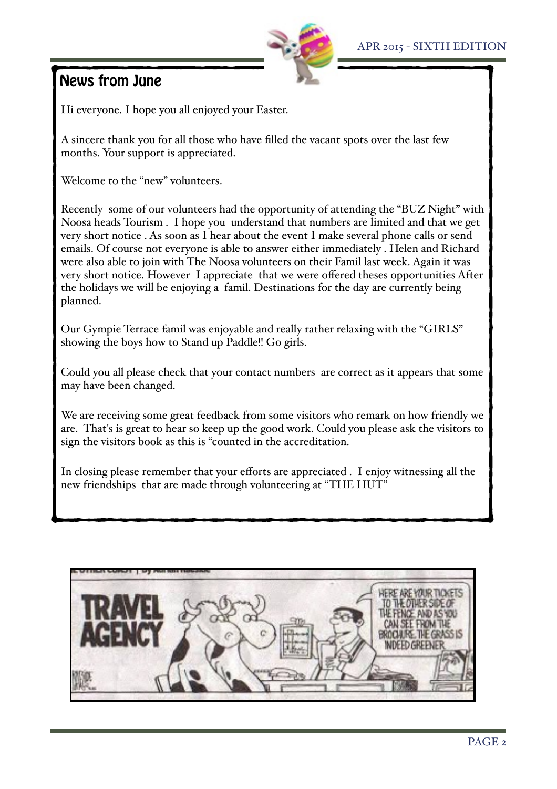#### APR 2015 - SIXTH EDITION



Hi everyone. I hope you all enjoyed your Easter.

A sincere thank you for all those who have filled the vacant spots over the last few months. Your support is appreciated.

Welcome to the "new" volunteers.

Recently some of our volunteers had the opportunity of attending the "BUZ Night" with Noosa heads Tourism . I hope you understand that numbers are limited and that we get very short notice . As soon as I hear about the event I make several phone calls or send emails. Of course not everyone is able to answer either immediately . Helen and Richard were also able to join with The Noosa volunteers on their Famil last week. Again it was very short notice. However I appreciate that we were offered theses opportunities After the holidays we will be enjoying a famil. Destinations for the day are currently being planned.

Our Gympie Terrace famil was enjoyable and really rather relaxing with the "GIRLS" showing the boys how to Stand up Paddle!! Go girls.

Could you all please check that your contact numbers are correct as it appears that some may have been changed.

We are receiving some great feedback from some visitors who remark on how friendly we are. That's is great to hear so keep up the good work. Could you please ask the visitors to sign the visitors book as this is "counted in the accreditation.

In closing please remember that your efforts are appreciated . I enjoy witnessing all the new friendships that are made through volunteering at "THE HUT"

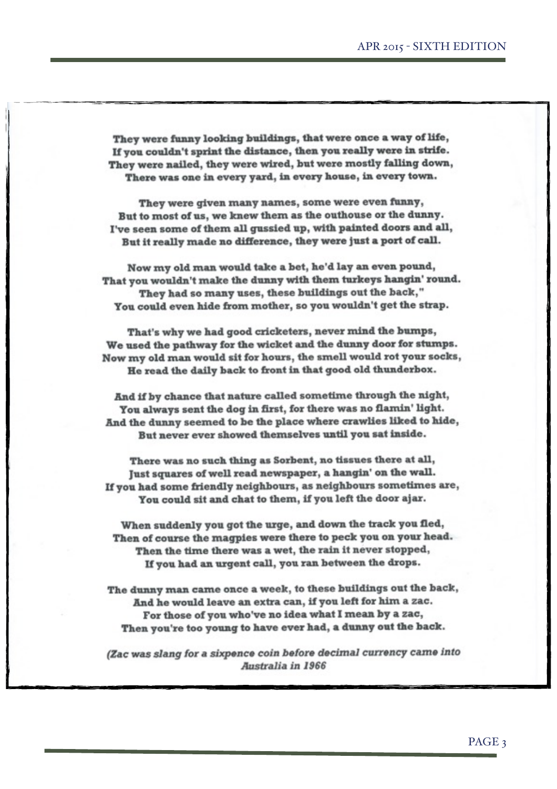They were funny looking buildings, that were once a way of life, If you couldn't sprint the distance, then you really were in strife. They were nailed, they were wired, but were mostly falling down, There was one in every yard, in every house, in every town.

They were given many names, some were even funny, But to most of us, we knew them as the outhouse or the dunny. I've seen some of them all qussied up, with painted doors and all, But it really made no difference, they were just a port of call.

Now my old man would take a bet, he'd lay an even pound, That you wouldn't make the dunny with them turkeys hangin' round. They had so many uses, these buildings out the back," You could even hide from mother, so you wouldn't get the strap.

That's why we had good cricketers, never mind the bumps, We used the pathway for the wicket and the dunny door for stumps. Now my old man would sit for hours, the smell would rot your socks, He read the daily back to front in that good old thunderbox.

And if by chance that nature called sometime through the night, You always sent the dog in first, for there was no flamin' light. And the dunny seemed to be the place where crawlies liked to hide, But never ever showed themselves until you sat inside.

There was no such thing as Sorbent, no tissues there at all, Just squares of well read newspaper, a hangin' on the wall. If you had some friendly neighbours, as neighbours sometimes are, You could sit and chat to them, if you left the door ajar.

When suddenly you got the urge, and down the track you fled, Then of course the magpies were there to peck you on your head. Then the time there was a wet, the rain it never stopped, If you had an urgent call, you ran between the drops.

The dunny man came once a week, to these buildings out the back, And he would leave an extra can, if you left for him a zac. For those of you who've no idea what I mean by a zac, Then you're too young to have ever had, a dunny out the back.

(Zac was slang for a sixpence coin before decimal currency came into Australia in 1966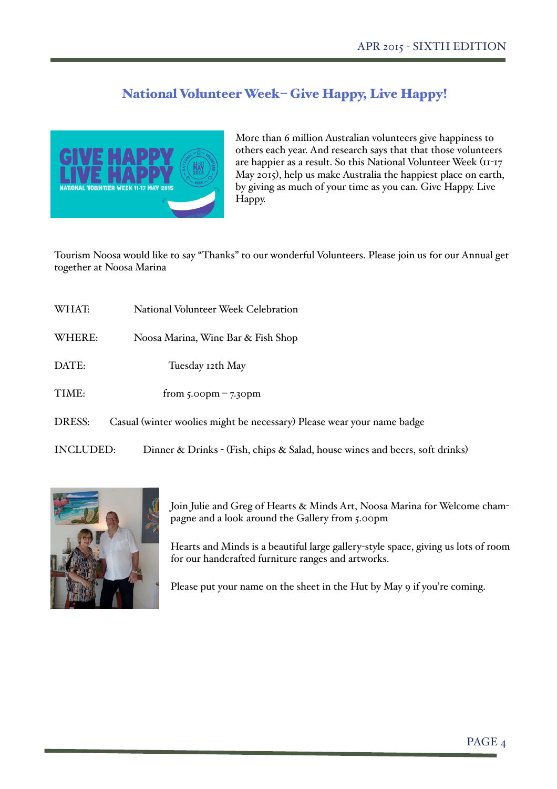#### National Volunteer Week– Give Happy, Live Happy!



More than 6 million Australian volunteers give happiness to others each year. And research says that that those volunteers are happier as a result. So this National Volunteer Week (11-17 May 2015), help us make Australia the happiest place on earth, by giving as much of your time as you can. Give Happy. Live Happy.

Tourism Noosa would like to say "Thanks" to our wonderful Volunteers. Please join us for our Annual get together at Noosa Marina

- WHAT: National Volunteer Week Celebration
- WHERE: Noosa Marina, Wine Bar & Fish Shop
- DATE: Tuesday 12th May
- TIME: from 5.00pm 7.30pm
- DRESS: Casual (winter woolies might be necessary) Please wear your name badge
- INCLUDED: Dinner & Drinks (Fish, chips & Salad, house wines and beers, soft drinks)



Join Julie and Greg of Hearts & Minds Art, Noosa Marina for Welcome champagne and a look around the Gallery from 5.00pm

Hearts and Minds is a beautiful large gallery-style space, giving us lots of room for our handcrafted furniture ranges and artworks.

Please put your name on the sheet in the Hut by May 9 if you're coming.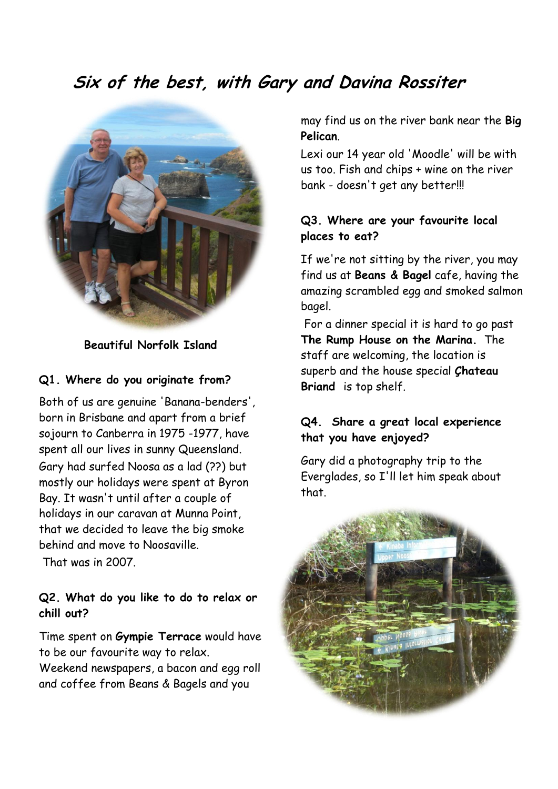## **Six of the best, with Gary and Davina Rossiter**



#### **Beautiful Norfolk Island**

#### **Q1. Where do you originate from?**

Both of us are genuine 'Banana-benders', born in Brisbane and apart from a brief sojourn to Canberra in 1975 -1977, have spent all our lives in sunny Queensland. Gary had surfed Noosa as a lad (??) but mostly our holidays were spent at Byron Bay. It wasn't until after a couple of holidays in our caravan at Munna Point, that we decided to leave the big smoke behind and move to Noosaville.

That was in 2007.

#### **Q2. What do you like to do to relax or chill out?**

Time spent on **Gympie Terrace** would have to be our favourite way to relax. Weekend newspapers, a bacon and egg roll and coffee from Beans & Bagels and you

may find us on the river bank near the **Big Pelican**.

Lexi our 14 year old 'Moodle' will be with us too. Fish and chips + wine on the river bank - doesn't get any better!!!

#### **Q3. Where are your favourite local places to eat?**

If we're not sitting by the river, you may find us at **Beans & Bagel** cafe, having the amazing scrambled egg and smoked salmon bagel.

For a dinner special it is hard to go past **The Rump House on the Marina.** The staff are welcoming, the location is superb and the house special **Çhateau Briand** is top shelf.

#### **Q4. Share a great local experience that you have enjoyed?**

Gary did a photography trip to the Everglades, so I'll let him speak about that.